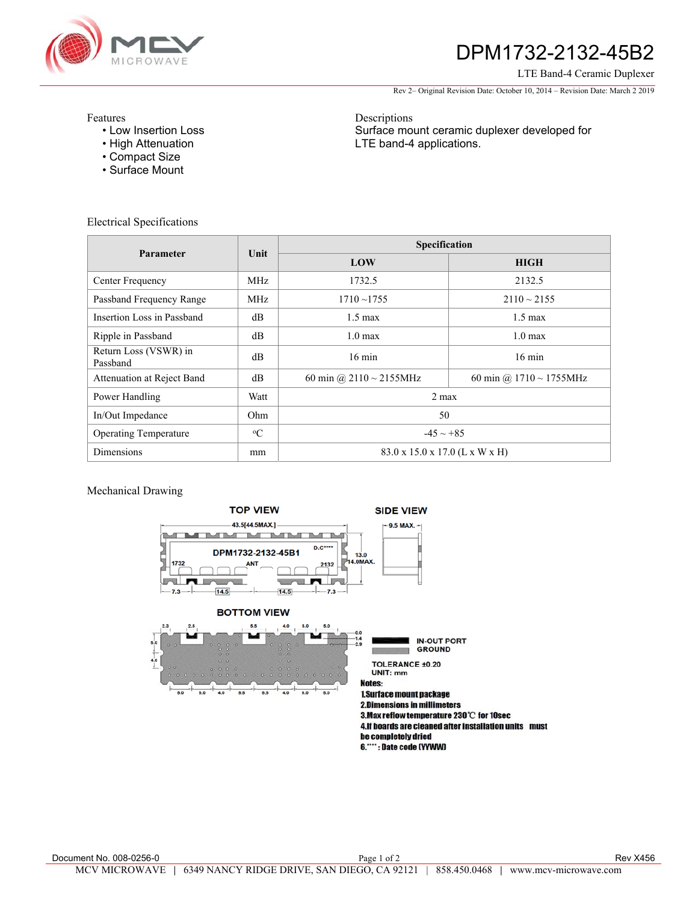

# DPM1732-2132-45B2

LTE Band-4 Ceramic Duplexer

Rev 2– Original Revision Date: October 10, 2014 – Revision Date: March 2 2019

Surface mount ceramic duplexer developed for

Features

- Low Insertion Loss
- High Attenuation
- Compact Size
- Surface Mount

Electrical Specifications

| Parameter                         | Unit        | Specification                  |                               |
|-----------------------------------|-------------|--------------------------------|-------------------------------|
|                                   |             | LOW                            | <b>HIGH</b>                   |
| Center Frequency                  | <b>MHz</b>  | 1732.5                         | 2132.5                        |
| Passband Frequency Range          | <b>MHz</b>  | $1710 - 1755$                  | $2110 \sim 2155$              |
| Insertion Loss in Passband        | dB          | $1.5 \text{ max}$              | $1.5 \text{ max}$             |
| Ripple in Passband                | dВ          | $1.0 \text{ max}$              | 1.0 <sub>max</sub>            |
| Return Loss (VSWR) in<br>Passband | dB          | $16 \text{ min}$               | $16 \text{ min}$              |
| Attenuation at Reject Band        | dB          | 60 min @ 2110 $\sim$ 2155MHz   | 60 min @ $1710 \sim 1755$ MHz |
| Power Handling                    | Watt        | $2$ max                        |                               |
| In/Out Impedance                  | Ohm         | 50                             |                               |
| <b>Operating Temperature</b>      | $\rm ^{o}C$ | $-45 \sim +85$                 |                               |
| <b>Dimensions</b>                 | mm          | 83.0 x 15.0 x 17.0 (L x W x H) |                               |

Descriptions

LTE band-4 applications.

### Mechanical Drawing